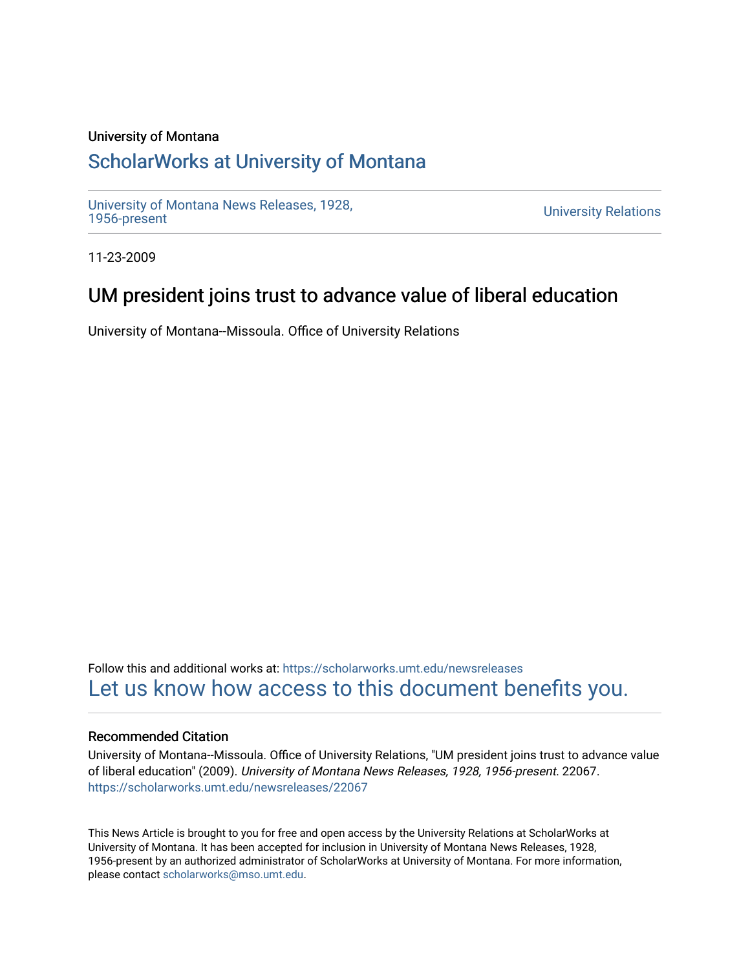#### University of Montana

## [ScholarWorks at University of Montana](https://scholarworks.umt.edu/)

[University of Montana News Releases, 1928,](https://scholarworks.umt.edu/newsreleases) 

**University Relations** 

11-23-2009

## UM president joins trust to advance value of liberal education

University of Montana--Missoula. Office of University Relations

Follow this and additional works at: [https://scholarworks.umt.edu/newsreleases](https://scholarworks.umt.edu/newsreleases?utm_source=scholarworks.umt.edu%2Fnewsreleases%2F22067&utm_medium=PDF&utm_campaign=PDFCoverPages) [Let us know how access to this document benefits you.](https://goo.gl/forms/s2rGfXOLzz71qgsB2) 

#### Recommended Citation

University of Montana--Missoula. Office of University Relations, "UM president joins trust to advance value of liberal education" (2009). University of Montana News Releases, 1928, 1956-present. 22067. [https://scholarworks.umt.edu/newsreleases/22067](https://scholarworks.umt.edu/newsreleases/22067?utm_source=scholarworks.umt.edu%2Fnewsreleases%2F22067&utm_medium=PDF&utm_campaign=PDFCoverPages) 

This News Article is brought to you for free and open access by the University Relations at ScholarWorks at University of Montana. It has been accepted for inclusion in University of Montana News Releases, 1928, 1956-present by an authorized administrator of ScholarWorks at University of Montana. For more information, please contact [scholarworks@mso.umt.edu.](mailto:scholarworks@mso.umt.edu)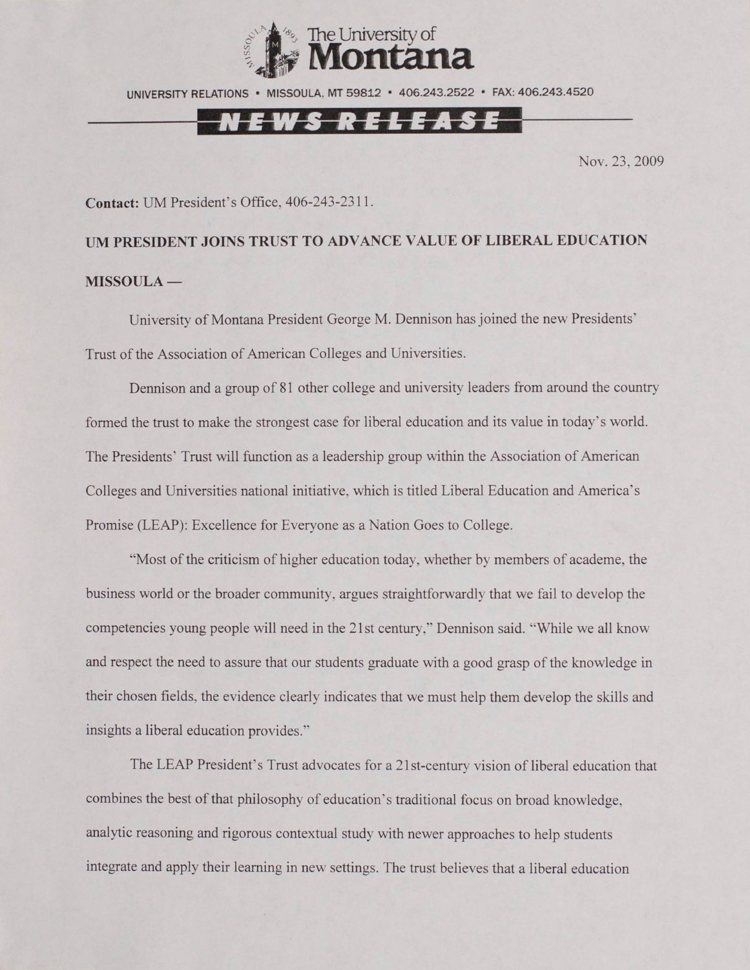

UNIVERSITY RELATIONS • MISSOULA. MT 59812 • 406.243.2522 • FAX: 406.243.4520

## I E W S R E L E A S E

Nov. 23, 2009

#### **Contact:** UM President's Office, 406-243-2311.

# **UM PRESIDENT JOINS TRUST TO ADVANCE VALUE OF LIBERAL EDUCATION MISSOULA —**

University of Montana President George M. Dennison has joined the new Presidents' Trust of the Association of American Colleges and Universities.

Dennison and a group of 81 other college and university leaders from around the country formed the trust to make the strongest case for liberal education and its value in today's world. The Presidents' Trust will function as a leadership group within the Association of American Colleges and Universities national initiative, which is titled Liberal Education and America's Promise (LEAP): Excellence for Everyone as a Nation Goes to College.

"Most of the criticism of higher education today, whether by members of academe, the business world or the broader community, argues straightforwardly that we fail to develop the competencies young people will need in the 21st century," Dennison said. "While we all know' and respect the need to assure that our students graduate with a good grasp of the knowledge in their chosen fields, the evidence clearly indicates that we must help them develop the skills and insights a liberal education provides."

The LEAP President's Trust advocates for a 21st-century vision of liberal education that combines the best of that philosophy of education's traditional focus on broad knowledge, analytic reasoning and rigorous contextual study with newer approaches to help students integrate and apply their learning in new settings. The trust believes that a liberal education